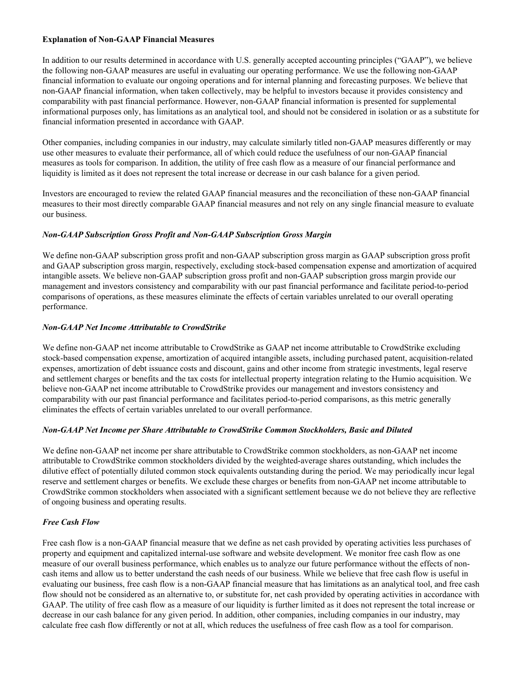# **Explanation of Non-GAAP Financial Measures**

In addition to our results determined in accordance with U.S. generally accepted accounting principles ("GAAP"), we believe the following non-GAAP measures are useful in evaluating our operating performance. We use the following non-GAAP financial information to evaluate our ongoing operations and for internal planning and forecasting purposes. We believe that non-GAAP financial information, when taken collectively, may be helpful to investors because it provides consistency and comparability with past financial performance. However, non-GAAP financial information is presented for supplemental informational purposes only, has limitations as an analytical tool, and should not be considered in isolation or as a substitute for financial information presented in accordance with GAAP.

Other companies, including companies in our industry, may calculate similarly titled non-GAAP measures differently or may use other measures to evaluate their performance, all of which could reduce the usefulness of our non-GAAP financial measures as tools for comparison. In addition, the utility of free cash flow as a measure of our financial performance and liquidity is limited as it does not represent the total increase or decrease in our cash balance for a given period.

Investors are encouraged to review the related GAAP financial measures and the reconciliation of these non-GAAP financial measures to their most directly comparable GAAP financial measures and not rely on any single financial measure to evaluate our business.

# *Non-GAAP Subscription Gross Profit and Non-GAAP Subscription Gross Margin*

We define non-GAAP subscription gross profit and non-GAAP subscription gross margin as GAAP subscription gross profit and GAAP subscription gross margin, respectively, excluding stock-based compensation expense and amortization of acquired intangible assets. We believe non-GAAP subscription gross profit and non-GAAP subscription gross margin provide our management and investors consistency and comparability with our past financial performance and facilitate period-to-period comparisons of operations, as these measures eliminate the effects of certain variables unrelated to our overall operating performance.

# *Non-GAAP Net Income Attributable to CrowdStrike*

We define non-GAAP net income attributable to CrowdStrike as GAAP net income attributable to CrowdStrike excluding stock-based compensation expense, amortization of acquired intangible assets, including purchased patent, acquisition-related expenses, amortization of debt issuance costs and discount, gains and other income from strategic investments, legal reserve and settlement charges or benefits and the tax costs for intellectual property integration relating to the Humio acquisition. We believe non-GAAP net income attributable to CrowdStrike provides our management and investors consistency and comparability with our past financial performance and facilitates period-to-period comparisons, as this metric generally eliminates the effects of certain variables unrelated to our overall performance.

## *Non-GAAP Net Income per Share Attributable to CrowdStrike Common Stockholders, Basic and Diluted*

We define non-GAAP net income per share attributable to CrowdStrike common stockholders, as non-GAAP net income attributable to CrowdStrike common stockholders divided by the weighted-average shares outstanding, which includes the dilutive effect of potentially diluted common stock equivalents outstanding during the period. We may periodically incur legal reserve and settlement charges or benefits. We exclude these charges or benefits from non-GAAP net income attributable to CrowdStrike common stockholders when associated with a significant settlement because we do not believe they are reflective of ongoing business and operating results.

## *Free Cash Flow*

Free cash flow is a non-GAAP financial measure that we define as net cash provided by operating activities less purchases of property and equipment and capitalized internal-use software and website development. We monitor free cash flow as one measure of our overall business performance, which enables us to analyze our future performance without the effects of noncash items and allow us to better understand the cash needs of our business. While we believe that free cash flow is useful in evaluating our business, free cash flow is a non-GAAP financial measure that has limitations as an analytical tool, and free cash flow should not be considered as an alternative to, or substitute for, net cash provided by operating activities in accordance with GAAP. The utility of free cash flow as a measure of our liquidity is further limited as it does not represent the total increase or decrease in our cash balance for any given period. In addition, other companies, including companies in our industry, may calculate free cash flow differently or not at all, which reduces the usefulness of free cash flow as a tool for comparison.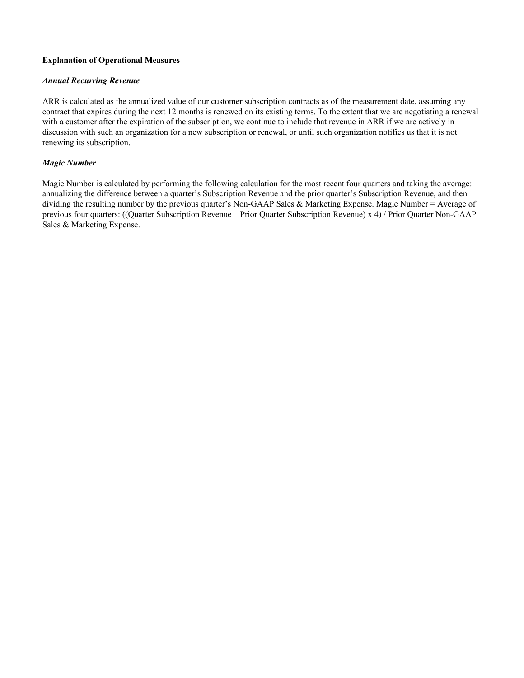## **Explanation of Operational Measures**

## *Annual Recurring Revenue*

ARR is calculated as the annualized value of our customer subscription contracts as of the measurement date, assuming any contract that expires during the next 12 months is renewed on its existing terms. To the extent that we are negotiating a renewal with a customer after the expiration of the subscription, we continue to include that revenue in ARR if we are actively in discussion with such an organization for a new subscription or renewal, or until such organization notifies us that it is not renewing its subscription.

# *Magic Number*

Magic Number is calculated by performing the following calculation for the most recent four quarters and taking the average: annualizing the difference between a quarter's Subscription Revenue and the prior quarter's Subscription Revenue, and then dividing the resulting number by the previous quarter's Non-GAAP Sales & Marketing Expense. Magic Number = Average of previous four quarters: ((Quarter Subscription Revenue – Prior Quarter Subscription Revenue) x 4) / Prior Quarter Non-GAAP Sales & Marketing Expense.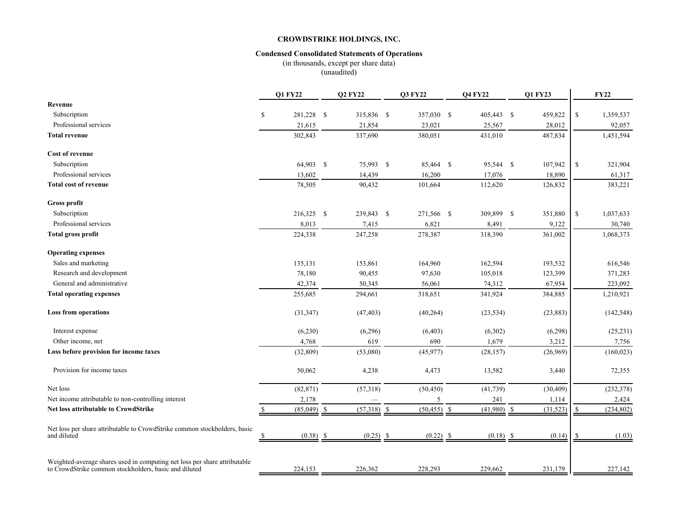#### **Condensed Consolidated Statements of Operations**

(in thousands, except per share data) (unaudited)

|                                                                                                                                    | <b>Q1 FY22</b>   | <b>Q2 FY22</b> |             | <b>Q3 FY22</b> | <b>Q4 FY22</b> |             | Q1 FY23   |               | <b>FY22</b> |
|------------------------------------------------------------------------------------------------------------------------------------|------------------|----------------|-------------|----------------|----------------|-------------|-----------|---------------|-------------|
| Revenue                                                                                                                            |                  |                |             |                |                |             |           |               |             |
| Subscription                                                                                                                       | \$<br>281,228 \$ | 315,836 \$     |             | 357,030 \$     | 405,443 \$     |             | 459,822   | <sup>\$</sup> | 1,359,537   |
| Professional services                                                                                                              | 21,615           | 21,854         |             | 23,021         | 25,567         |             | 28,012    |               | 92,057      |
| <b>Total revenue</b>                                                                                                               | 302,843          | 337,690        |             | 380,051        | 431,010        |             | 487,834   |               | 1,451,594   |
| Cost of revenue                                                                                                                    |                  |                |             |                |                |             |           |               |             |
| Subscription                                                                                                                       | 64,903 \$        | 75,993 \$      |             | 85,464 \$      | 95,544 \$      |             | 107,942   | \$            | 321,904     |
| Professional services                                                                                                              | 13,602           | 14,439         |             | 16,200         | 17,076         |             | 18,890    |               | 61,317      |
| <b>Total cost of revenue</b>                                                                                                       | 78,505           | 90,432         |             | 101,664        | 112,620        |             | 126,832   |               | 383,221     |
| Gross profit                                                                                                                       |                  |                |             |                |                |             |           |               |             |
| Subscription                                                                                                                       | 216,325 \$       | 239,843 \$     |             | 271,566 \$     | 309,899 \$     |             | 351,880   | $\mathbb{S}$  | 1,037,633   |
| Professional services                                                                                                              | 8,013            | 7,415          |             | 6,821          | 8,491          |             | 9,122     |               | 30,740      |
| <b>Total gross profit</b>                                                                                                          | 224,338          | 247,258        |             | 278,387        | 318,390        |             | 361,002   |               | 1,068,373   |
| <b>Operating expenses</b>                                                                                                          |                  |                |             |                |                |             |           |               |             |
| Sales and marketing                                                                                                                | 135,131          | 153,861        |             | 164,960        | 162,594        |             | 193,532   |               | 616,546     |
| Research and development                                                                                                           | 78,180           | 90,455         |             | 97,630         | 105,018        |             | 123,399   |               | 371,283     |
| General and administrative                                                                                                         | 42,374           | 50,345         |             | 56,061         | 74,312         |             | 67,954    |               | 223,092     |
| <b>Total operating expenses</b>                                                                                                    | 255,685          | 294,661        |             | 318,651        | 341,924        |             | 384,885   |               | 1,210,921   |
| <b>Loss from operations</b>                                                                                                        | (31, 347)        | (47, 403)      |             | (40, 264)      | (23, 534)      |             | (23, 883) |               | (142, 548)  |
| Interest expense                                                                                                                   | (6,230)          | (6,296)        |             | (6, 403)       | (6,302)        |             | (6,298)   |               | (25, 231)   |
| Other income, net                                                                                                                  | 4,768            | 619            |             | 690            | 1,679          |             | 3,212     |               | 7,756       |
| Loss before provision for income taxes                                                                                             | (32, 809)        | (53,080)       |             | (45,977)       | (28, 157)      |             | (26,969)  |               | (160, 023)  |
| Provision for income taxes                                                                                                         | 50,062           | 4,238          |             | 4,473          | 13,582         |             | 3,440     |               | 72,355      |
| Net loss                                                                                                                           | (82, 871)        | (57,318)       |             | (50, 450)      | (41, 739)      |             | (30, 409) |               | (232, 378)  |
| Net income attributable to non-controlling interest                                                                                | 2,178            |                |             | 5              | 241            |             | 1,114     |               | 2,424       |
| <b>Net loss attributable to CrowdStrike</b>                                                                                        | $(85,049)$ \$    | $(57,318)$ \$  |             | $(50, 455)$ \$ | (41,980)       | -S          | (31, 523) | $\mathbf S$   | (234, 802)  |
| Net loss per share attributable to CrowdStrike common stockholders, basic<br>and diluted                                           | $(0.38)$ \$      |                | $(0.25)$ \$ | $(0.22)$ \$    |                | $(0.18)$ \$ | (0.14)    |               | (1.03)      |
|                                                                                                                                    |                  |                |             |                |                |             |           |               |             |
| Weighted-average shares used in computing net loss per share attributable<br>to CrowdStrike common stockholders, basic and diluted | 224,153          | 226,362        |             | 228,293        | 229,662        |             | 231,179   |               | 227,142     |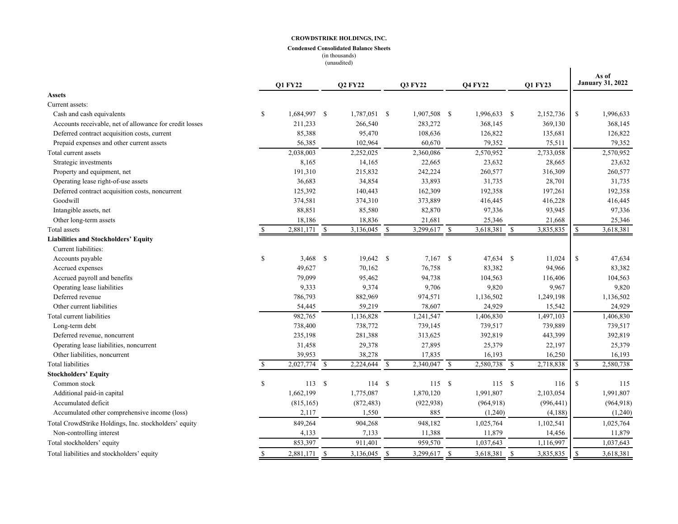#### **Condensed Consolidated Balance Sheets** (in thousands)

(unaudited)

| <b>Assets</b><br>Current assets:<br>\$<br>\$<br>Cash and cash equivalents<br>1,684,997 \$<br>1,787,051 \$<br>1,907,508 \$<br>$1,996,633$ \$<br>2,152,736<br>1,996,633<br>211,233<br>283,272<br>369,130<br>Accounts receivable, net of allowance for credit losses<br>266,540<br>368,145<br>368,145<br>85,388<br>95,470<br>108,636<br>126,822<br>126,822<br>Deferred contract acquisition costs, current<br>135,681<br>56,385<br>79,352<br>79,352<br>Prepaid expenses and other current assets<br>102,964<br>60,670<br>75,511<br>2,038,003<br>2,570,952<br>2,733,058<br>2,570,952<br>Total current assets<br>2,252,025<br>2,360,086<br>Strategic investments<br>8,165<br>14,165<br>22,665<br>23,632<br>28,665<br>23,632<br>260,577<br>Property and equipment, net<br>191,310<br>215,832<br>242,224<br>316,309<br>260,577<br>34,854<br>33,893<br>31,735<br>Operating lease right-of-use assets<br>36,683<br>28,701<br>31,735<br>125,392<br>162,309<br>192,358<br>197,261<br>192,358<br>Deferred contract acquisition costs, noncurrent<br>140,443<br>Goodwill<br>374,581<br>374,310<br>373,889<br>416,445<br>416,228<br>416,445<br>88,851<br>82,870<br>93,945<br>Intangible assets, net<br>85,580<br>97,336<br>97,336<br>18,186<br>18,836<br>21,681<br>Other long-term assets<br>25,346<br>21,668<br>25,346<br>3,299,617 $\overline{\$}$<br>2,881,171 \$<br>3,136,045 \$<br>- \$<br>Total assets<br>3,618,381<br>3,835,835<br>S<br>3,618,381<br><b>Liabilities and Stockholders' Equity</b><br>Current liabilities:<br>$\mathbb{S}$<br>$\mathbf S$<br>$3,468$ \$<br>19,642 \$<br>$7,167$ \$<br>47,634 \$<br>11,024<br>47,634<br>Accounts payable<br>49,627<br>70,162<br>76,758<br>83,382<br>94,966<br>83,382<br>Accrued expenses<br>94,738<br>79,099<br>95,462<br>104,563<br>Accrued payroll and benefits<br>104,563<br>116,406<br>9,706<br>Operating lease liabilities<br>9,333<br>9,374<br>9,820<br>9,967<br>9,820<br>882,969<br>Deferred revenue<br>786,793<br>974,571<br>1,136,502<br>1,249,198<br>1,136,502<br>59,219<br>78,607<br>Other current liabilities<br>54,445<br>24,929<br>24,929<br>15,542<br>1,497,103<br>Total current liabilities<br>982,765<br>1,136,828<br>1,241,547<br>1,406,830<br>1,406,830<br>738,772<br>Long-term debt<br>738,400<br>739,145<br>739,517<br>739,889<br>739,517<br>235,198<br>281,388<br>313,625<br>392,819<br>443,399<br>392,819<br>Deferred revenue, noncurrent<br>31,458<br>29,378<br>27,895<br>Operating lease liabilities, noncurrent<br>25,379<br>22,197<br>25,379<br>39,953<br>38,278<br>17,835<br>16,193<br>16,193<br>Other liabilities, noncurrent<br>16,250<br>$2,027,774$ \$<br>$2,340,047$ \$<br>$\mathbf S$<br>2,224,644 \$<br>2,580,738<br>$\mathbf{s}$<br>2,718,838<br>$\mathbb{S}$<br>2,580,738<br>Total liabilities<br><b>Stockholders' Equity</b><br>$\mathbf S$<br>113S<br>114S<br>115S<br>115S<br>\$<br>Common stock<br>116<br>115<br>1,991,807<br>Additional paid-in capital<br>1,662,199<br>1,775,087<br>1,870,120<br>1,991,807<br>2,103,054<br>Accumulated deficit<br>(815, 165)<br>(872, 483)<br>(922, 938)<br>(964, 918)<br>(996, 441)<br>(964, 918)<br>2,117<br>1,550<br>885<br>Accumulated other comprehensive income (loss)<br>(1,240)<br>(4,188)<br>(1,240)<br>849,264<br>904,268<br>948,182<br>1,025,764<br>1,102,541<br>1,025,764<br>Total CrowdStrike Holdings, Inc. stockholders' equity<br>Non-controlling interest<br>4,133<br>7,133<br>11,388<br>11,879<br>14,456<br>11,879<br>853,397<br>959,570<br>1,037,643<br>1,116,997<br>1,037,643<br>911,401<br>Total stockholders' equity |                                            |    | <b>O1 FY22</b> |              | <b>Q2 FY22</b> |    | <b>Q3 FY22</b> |    | <b>O4 FY22</b> |               | <b>O1 FY23</b> |   | As of<br><b>January 31, 2022</b> |
|------------------------------------------------------------------------------------------------------------------------------------------------------------------------------------------------------------------------------------------------------------------------------------------------------------------------------------------------------------------------------------------------------------------------------------------------------------------------------------------------------------------------------------------------------------------------------------------------------------------------------------------------------------------------------------------------------------------------------------------------------------------------------------------------------------------------------------------------------------------------------------------------------------------------------------------------------------------------------------------------------------------------------------------------------------------------------------------------------------------------------------------------------------------------------------------------------------------------------------------------------------------------------------------------------------------------------------------------------------------------------------------------------------------------------------------------------------------------------------------------------------------------------------------------------------------------------------------------------------------------------------------------------------------------------------------------------------------------------------------------------------------------------------------------------------------------------------------------------------------------------------------------------------------------------------------------------------------------------------------------------------------------------------------------------------------------------------------------------------------------------------------------------------------------------------------------------------------------------------------------------------------------------------------------------------------------------------------------------------------------------------------------------------------------------------------------------------------------------------------------------------------------------------------------------------------------------------------------------------------------------------------------------------------------------------------------------------------------------------------------------------------------------------------------------------------------------------------------------------------------------------------------------------------------------------------------------------------------------------------------------------------------------------------------------------------------------------------------------------------------------------------------------------------------------------------------------------------------------------------------------------------------------------------------------------------------------------------------------------------------------------------------------------------------------------------------------------------------------------------------------------------------------------------------------------|--------------------------------------------|----|----------------|--------------|----------------|----|----------------|----|----------------|---------------|----------------|---|----------------------------------|
|                                                                                                                                                                                                                                                                                                                                                                                                                                                                                                                                                                                                                                                                                                                                                                                                                                                                                                                                                                                                                                                                                                                                                                                                                                                                                                                                                                                                                                                                                                                                                                                                                                                                                                                                                                                                                                                                                                                                                                                                                                                                                                                                                                                                                                                                                                                                                                                                                                                                                                                                                                                                                                                                                                                                                                                                                                                                                                                                                                                                                                                                                                                                                                                                                                                                                                                                                                                                                                                                                                                                                            |                                            |    |                |              |                |    |                |    |                |               |                |   |                                  |
|                                                                                                                                                                                                                                                                                                                                                                                                                                                                                                                                                                                                                                                                                                                                                                                                                                                                                                                                                                                                                                                                                                                                                                                                                                                                                                                                                                                                                                                                                                                                                                                                                                                                                                                                                                                                                                                                                                                                                                                                                                                                                                                                                                                                                                                                                                                                                                                                                                                                                                                                                                                                                                                                                                                                                                                                                                                                                                                                                                                                                                                                                                                                                                                                                                                                                                                                                                                                                                                                                                                                                            |                                            |    |                |              |                |    |                |    |                |               |                |   |                                  |
|                                                                                                                                                                                                                                                                                                                                                                                                                                                                                                                                                                                                                                                                                                                                                                                                                                                                                                                                                                                                                                                                                                                                                                                                                                                                                                                                                                                                                                                                                                                                                                                                                                                                                                                                                                                                                                                                                                                                                                                                                                                                                                                                                                                                                                                                                                                                                                                                                                                                                                                                                                                                                                                                                                                                                                                                                                                                                                                                                                                                                                                                                                                                                                                                                                                                                                                                                                                                                                                                                                                                                            |                                            |    |                |              |                |    |                |    |                |               |                |   |                                  |
|                                                                                                                                                                                                                                                                                                                                                                                                                                                                                                                                                                                                                                                                                                                                                                                                                                                                                                                                                                                                                                                                                                                                                                                                                                                                                                                                                                                                                                                                                                                                                                                                                                                                                                                                                                                                                                                                                                                                                                                                                                                                                                                                                                                                                                                                                                                                                                                                                                                                                                                                                                                                                                                                                                                                                                                                                                                                                                                                                                                                                                                                                                                                                                                                                                                                                                                                                                                                                                                                                                                                                            |                                            |    |                |              |                |    |                |    |                |               |                |   |                                  |
|                                                                                                                                                                                                                                                                                                                                                                                                                                                                                                                                                                                                                                                                                                                                                                                                                                                                                                                                                                                                                                                                                                                                                                                                                                                                                                                                                                                                                                                                                                                                                                                                                                                                                                                                                                                                                                                                                                                                                                                                                                                                                                                                                                                                                                                                                                                                                                                                                                                                                                                                                                                                                                                                                                                                                                                                                                                                                                                                                                                                                                                                                                                                                                                                                                                                                                                                                                                                                                                                                                                                                            |                                            |    |                |              |                |    |                |    |                |               |                |   |                                  |
|                                                                                                                                                                                                                                                                                                                                                                                                                                                                                                                                                                                                                                                                                                                                                                                                                                                                                                                                                                                                                                                                                                                                                                                                                                                                                                                                                                                                                                                                                                                                                                                                                                                                                                                                                                                                                                                                                                                                                                                                                                                                                                                                                                                                                                                                                                                                                                                                                                                                                                                                                                                                                                                                                                                                                                                                                                                                                                                                                                                                                                                                                                                                                                                                                                                                                                                                                                                                                                                                                                                                                            |                                            |    |                |              |                |    |                |    |                |               |                |   |                                  |
|                                                                                                                                                                                                                                                                                                                                                                                                                                                                                                                                                                                                                                                                                                                                                                                                                                                                                                                                                                                                                                                                                                                                                                                                                                                                                                                                                                                                                                                                                                                                                                                                                                                                                                                                                                                                                                                                                                                                                                                                                                                                                                                                                                                                                                                                                                                                                                                                                                                                                                                                                                                                                                                                                                                                                                                                                                                                                                                                                                                                                                                                                                                                                                                                                                                                                                                                                                                                                                                                                                                                                            |                                            |    |                |              |                |    |                |    |                |               |                |   |                                  |
|                                                                                                                                                                                                                                                                                                                                                                                                                                                                                                                                                                                                                                                                                                                                                                                                                                                                                                                                                                                                                                                                                                                                                                                                                                                                                                                                                                                                                                                                                                                                                                                                                                                                                                                                                                                                                                                                                                                                                                                                                                                                                                                                                                                                                                                                                                                                                                                                                                                                                                                                                                                                                                                                                                                                                                                                                                                                                                                                                                                                                                                                                                                                                                                                                                                                                                                                                                                                                                                                                                                                                            |                                            |    |                |              |                |    |                |    |                |               |                |   |                                  |
|                                                                                                                                                                                                                                                                                                                                                                                                                                                                                                                                                                                                                                                                                                                                                                                                                                                                                                                                                                                                                                                                                                                                                                                                                                                                                                                                                                                                                                                                                                                                                                                                                                                                                                                                                                                                                                                                                                                                                                                                                                                                                                                                                                                                                                                                                                                                                                                                                                                                                                                                                                                                                                                                                                                                                                                                                                                                                                                                                                                                                                                                                                                                                                                                                                                                                                                                                                                                                                                                                                                                                            |                                            |    |                |              |                |    |                |    |                |               |                |   |                                  |
|                                                                                                                                                                                                                                                                                                                                                                                                                                                                                                                                                                                                                                                                                                                                                                                                                                                                                                                                                                                                                                                                                                                                                                                                                                                                                                                                                                                                                                                                                                                                                                                                                                                                                                                                                                                                                                                                                                                                                                                                                                                                                                                                                                                                                                                                                                                                                                                                                                                                                                                                                                                                                                                                                                                                                                                                                                                                                                                                                                                                                                                                                                                                                                                                                                                                                                                                                                                                                                                                                                                                                            |                                            |    |                |              |                |    |                |    |                |               |                |   |                                  |
|                                                                                                                                                                                                                                                                                                                                                                                                                                                                                                                                                                                                                                                                                                                                                                                                                                                                                                                                                                                                                                                                                                                                                                                                                                                                                                                                                                                                                                                                                                                                                                                                                                                                                                                                                                                                                                                                                                                                                                                                                                                                                                                                                                                                                                                                                                                                                                                                                                                                                                                                                                                                                                                                                                                                                                                                                                                                                                                                                                                                                                                                                                                                                                                                                                                                                                                                                                                                                                                                                                                                                            |                                            |    |                |              |                |    |                |    |                |               |                |   |                                  |
|                                                                                                                                                                                                                                                                                                                                                                                                                                                                                                                                                                                                                                                                                                                                                                                                                                                                                                                                                                                                                                                                                                                                                                                                                                                                                                                                                                                                                                                                                                                                                                                                                                                                                                                                                                                                                                                                                                                                                                                                                                                                                                                                                                                                                                                                                                                                                                                                                                                                                                                                                                                                                                                                                                                                                                                                                                                                                                                                                                                                                                                                                                                                                                                                                                                                                                                                                                                                                                                                                                                                                            |                                            |    |                |              |                |    |                |    |                |               |                |   |                                  |
|                                                                                                                                                                                                                                                                                                                                                                                                                                                                                                                                                                                                                                                                                                                                                                                                                                                                                                                                                                                                                                                                                                                                                                                                                                                                                                                                                                                                                                                                                                                                                                                                                                                                                                                                                                                                                                                                                                                                                                                                                                                                                                                                                                                                                                                                                                                                                                                                                                                                                                                                                                                                                                                                                                                                                                                                                                                                                                                                                                                                                                                                                                                                                                                                                                                                                                                                                                                                                                                                                                                                                            |                                            |    |                |              |                |    |                |    |                |               |                |   |                                  |
|                                                                                                                                                                                                                                                                                                                                                                                                                                                                                                                                                                                                                                                                                                                                                                                                                                                                                                                                                                                                                                                                                                                                                                                                                                                                                                                                                                                                                                                                                                                                                                                                                                                                                                                                                                                                                                                                                                                                                                                                                                                                                                                                                                                                                                                                                                                                                                                                                                                                                                                                                                                                                                                                                                                                                                                                                                                                                                                                                                                                                                                                                                                                                                                                                                                                                                                                                                                                                                                                                                                                                            |                                            |    |                |              |                |    |                |    |                |               |                |   |                                  |
|                                                                                                                                                                                                                                                                                                                                                                                                                                                                                                                                                                                                                                                                                                                                                                                                                                                                                                                                                                                                                                                                                                                                                                                                                                                                                                                                                                                                                                                                                                                                                                                                                                                                                                                                                                                                                                                                                                                                                                                                                                                                                                                                                                                                                                                                                                                                                                                                                                                                                                                                                                                                                                                                                                                                                                                                                                                                                                                                                                                                                                                                                                                                                                                                                                                                                                                                                                                                                                                                                                                                                            |                                            |    |                |              |                |    |                |    |                |               |                |   |                                  |
|                                                                                                                                                                                                                                                                                                                                                                                                                                                                                                                                                                                                                                                                                                                                                                                                                                                                                                                                                                                                                                                                                                                                                                                                                                                                                                                                                                                                                                                                                                                                                                                                                                                                                                                                                                                                                                                                                                                                                                                                                                                                                                                                                                                                                                                                                                                                                                                                                                                                                                                                                                                                                                                                                                                                                                                                                                                                                                                                                                                                                                                                                                                                                                                                                                                                                                                                                                                                                                                                                                                                                            |                                            |    |                |              |                |    |                |    |                |               |                |   |                                  |
|                                                                                                                                                                                                                                                                                                                                                                                                                                                                                                                                                                                                                                                                                                                                                                                                                                                                                                                                                                                                                                                                                                                                                                                                                                                                                                                                                                                                                                                                                                                                                                                                                                                                                                                                                                                                                                                                                                                                                                                                                                                                                                                                                                                                                                                                                                                                                                                                                                                                                                                                                                                                                                                                                                                                                                                                                                                                                                                                                                                                                                                                                                                                                                                                                                                                                                                                                                                                                                                                                                                                                            |                                            |    |                |              |                |    |                |    |                |               |                |   |                                  |
|                                                                                                                                                                                                                                                                                                                                                                                                                                                                                                                                                                                                                                                                                                                                                                                                                                                                                                                                                                                                                                                                                                                                                                                                                                                                                                                                                                                                                                                                                                                                                                                                                                                                                                                                                                                                                                                                                                                                                                                                                                                                                                                                                                                                                                                                                                                                                                                                                                                                                                                                                                                                                                                                                                                                                                                                                                                                                                                                                                                                                                                                                                                                                                                                                                                                                                                                                                                                                                                                                                                                                            |                                            |    |                |              |                |    |                |    |                |               |                |   |                                  |
|                                                                                                                                                                                                                                                                                                                                                                                                                                                                                                                                                                                                                                                                                                                                                                                                                                                                                                                                                                                                                                                                                                                                                                                                                                                                                                                                                                                                                                                                                                                                                                                                                                                                                                                                                                                                                                                                                                                                                                                                                                                                                                                                                                                                                                                                                                                                                                                                                                                                                                                                                                                                                                                                                                                                                                                                                                                                                                                                                                                                                                                                                                                                                                                                                                                                                                                                                                                                                                                                                                                                                            |                                            |    |                |              |                |    |                |    |                |               |                |   |                                  |
|                                                                                                                                                                                                                                                                                                                                                                                                                                                                                                                                                                                                                                                                                                                                                                                                                                                                                                                                                                                                                                                                                                                                                                                                                                                                                                                                                                                                                                                                                                                                                                                                                                                                                                                                                                                                                                                                                                                                                                                                                                                                                                                                                                                                                                                                                                                                                                                                                                                                                                                                                                                                                                                                                                                                                                                                                                                                                                                                                                                                                                                                                                                                                                                                                                                                                                                                                                                                                                                                                                                                                            |                                            |    |                |              |                |    |                |    |                |               |                |   |                                  |
|                                                                                                                                                                                                                                                                                                                                                                                                                                                                                                                                                                                                                                                                                                                                                                                                                                                                                                                                                                                                                                                                                                                                                                                                                                                                                                                                                                                                                                                                                                                                                                                                                                                                                                                                                                                                                                                                                                                                                                                                                                                                                                                                                                                                                                                                                                                                                                                                                                                                                                                                                                                                                                                                                                                                                                                                                                                                                                                                                                                                                                                                                                                                                                                                                                                                                                                                                                                                                                                                                                                                                            |                                            |    |                |              |                |    |                |    |                |               |                |   |                                  |
|                                                                                                                                                                                                                                                                                                                                                                                                                                                                                                                                                                                                                                                                                                                                                                                                                                                                                                                                                                                                                                                                                                                                                                                                                                                                                                                                                                                                                                                                                                                                                                                                                                                                                                                                                                                                                                                                                                                                                                                                                                                                                                                                                                                                                                                                                                                                                                                                                                                                                                                                                                                                                                                                                                                                                                                                                                                                                                                                                                                                                                                                                                                                                                                                                                                                                                                                                                                                                                                                                                                                                            |                                            |    |                |              |                |    |                |    |                |               |                |   |                                  |
|                                                                                                                                                                                                                                                                                                                                                                                                                                                                                                                                                                                                                                                                                                                                                                                                                                                                                                                                                                                                                                                                                                                                                                                                                                                                                                                                                                                                                                                                                                                                                                                                                                                                                                                                                                                                                                                                                                                                                                                                                                                                                                                                                                                                                                                                                                                                                                                                                                                                                                                                                                                                                                                                                                                                                                                                                                                                                                                                                                                                                                                                                                                                                                                                                                                                                                                                                                                                                                                                                                                                                            |                                            |    |                |              |                |    |                |    |                |               |                |   |                                  |
|                                                                                                                                                                                                                                                                                                                                                                                                                                                                                                                                                                                                                                                                                                                                                                                                                                                                                                                                                                                                                                                                                                                                                                                                                                                                                                                                                                                                                                                                                                                                                                                                                                                                                                                                                                                                                                                                                                                                                                                                                                                                                                                                                                                                                                                                                                                                                                                                                                                                                                                                                                                                                                                                                                                                                                                                                                                                                                                                                                                                                                                                                                                                                                                                                                                                                                                                                                                                                                                                                                                                                            |                                            |    |                |              |                |    |                |    |                |               |                |   |                                  |
|                                                                                                                                                                                                                                                                                                                                                                                                                                                                                                                                                                                                                                                                                                                                                                                                                                                                                                                                                                                                                                                                                                                                                                                                                                                                                                                                                                                                                                                                                                                                                                                                                                                                                                                                                                                                                                                                                                                                                                                                                                                                                                                                                                                                                                                                                                                                                                                                                                                                                                                                                                                                                                                                                                                                                                                                                                                                                                                                                                                                                                                                                                                                                                                                                                                                                                                                                                                                                                                                                                                                                            |                                            |    |                |              |                |    |                |    |                |               |                |   |                                  |
|                                                                                                                                                                                                                                                                                                                                                                                                                                                                                                                                                                                                                                                                                                                                                                                                                                                                                                                                                                                                                                                                                                                                                                                                                                                                                                                                                                                                                                                                                                                                                                                                                                                                                                                                                                                                                                                                                                                                                                                                                                                                                                                                                                                                                                                                                                                                                                                                                                                                                                                                                                                                                                                                                                                                                                                                                                                                                                                                                                                                                                                                                                                                                                                                                                                                                                                                                                                                                                                                                                                                                            |                                            |    |                |              |                |    |                |    |                |               |                |   |                                  |
|                                                                                                                                                                                                                                                                                                                                                                                                                                                                                                                                                                                                                                                                                                                                                                                                                                                                                                                                                                                                                                                                                                                                                                                                                                                                                                                                                                                                                                                                                                                                                                                                                                                                                                                                                                                                                                                                                                                                                                                                                                                                                                                                                                                                                                                                                                                                                                                                                                                                                                                                                                                                                                                                                                                                                                                                                                                                                                                                                                                                                                                                                                                                                                                                                                                                                                                                                                                                                                                                                                                                                            |                                            |    |                |              |                |    |                |    |                |               |                |   |                                  |
|                                                                                                                                                                                                                                                                                                                                                                                                                                                                                                                                                                                                                                                                                                                                                                                                                                                                                                                                                                                                                                                                                                                                                                                                                                                                                                                                                                                                                                                                                                                                                                                                                                                                                                                                                                                                                                                                                                                                                                                                                                                                                                                                                                                                                                                                                                                                                                                                                                                                                                                                                                                                                                                                                                                                                                                                                                                                                                                                                                                                                                                                                                                                                                                                                                                                                                                                                                                                                                                                                                                                                            |                                            |    |                |              |                |    |                |    |                |               |                |   |                                  |
|                                                                                                                                                                                                                                                                                                                                                                                                                                                                                                                                                                                                                                                                                                                                                                                                                                                                                                                                                                                                                                                                                                                                                                                                                                                                                                                                                                                                                                                                                                                                                                                                                                                                                                                                                                                                                                                                                                                                                                                                                                                                                                                                                                                                                                                                                                                                                                                                                                                                                                                                                                                                                                                                                                                                                                                                                                                                                                                                                                                                                                                                                                                                                                                                                                                                                                                                                                                                                                                                                                                                                            |                                            |    |                |              |                |    |                |    |                |               |                |   |                                  |
|                                                                                                                                                                                                                                                                                                                                                                                                                                                                                                                                                                                                                                                                                                                                                                                                                                                                                                                                                                                                                                                                                                                                                                                                                                                                                                                                                                                                                                                                                                                                                                                                                                                                                                                                                                                                                                                                                                                                                                                                                                                                                                                                                                                                                                                                                                                                                                                                                                                                                                                                                                                                                                                                                                                                                                                                                                                                                                                                                                                                                                                                                                                                                                                                                                                                                                                                                                                                                                                                                                                                                            |                                            |    |                |              |                |    |                |    |                |               |                |   |                                  |
|                                                                                                                                                                                                                                                                                                                                                                                                                                                                                                                                                                                                                                                                                                                                                                                                                                                                                                                                                                                                                                                                                                                                                                                                                                                                                                                                                                                                                                                                                                                                                                                                                                                                                                                                                                                                                                                                                                                                                                                                                                                                                                                                                                                                                                                                                                                                                                                                                                                                                                                                                                                                                                                                                                                                                                                                                                                                                                                                                                                                                                                                                                                                                                                                                                                                                                                                                                                                                                                                                                                                                            |                                            |    |                |              |                |    |                |    |                |               |                |   |                                  |
|                                                                                                                                                                                                                                                                                                                                                                                                                                                                                                                                                                                                                                                                                                                                                                                                                                                                                                                                                                                                                                                                                                                                                                                                                                                                                                                                                                                                                                                                                                                                                                                                                                                                                                                                                                                                                                                                                                                                                                                                                                                                                                                                                                                                                                                                                                                                                                                                                                                                                                                                                                                                                                                                                                                                                                                                                                                                                                                                                                                                                                                                                                                                                                                                                                                                                                                                                                                                                                                                                                                                                            |                                            |    |                |              |                |    |                |    |                |               |                |   |                                  |
|                                                                                                                                                                                                                                                                                                                                                                                                                                                                                                                                                                                                                                                                                                                                                                                                                                                                                                                                                                                                                                                                                                                                                                                                                                                                                                                                                                                                                                                                                                                                                                                                                                                                                                                                                                                                                                                                                                                                                                                                                                                                                                                                                                                                                                                                                                                                                                                                                                                                                                                                                                                                                                                                                                                                                                                                                                                                                                                                                                                                                                                                                                                                                                                                                                                                                                                                                                                                                                                                                                                                                            |                                            |    |                |              |                |    |                |    |                |               |                |   |                                  |
|                                                                                                                                                                                                                                                                                                                                                                                                                                                                                                                                                                                                                                                                                                                                                                                                                                                                                                                                                                                                                                                                                                                                                                                                                                                                                                                                                                                                                                                                                                                                                                                                                                                                                                                                                                                                                                                                                                                                                                                                                                                                                                                                                                                                                                                                                                                                                                                                                                                                                                                                                                                                                                                                                                                                                                                                                                                                                                                                                                                                                                                                                                                                                                                                                                                                                                                                                                                                                                                                                                                                                            |                                            |    |                |              |                |    |                |    |                |               |                |   |                                  |
|                                                                                                                                                                                                                                                                                                                                                                                                                                                                                                                                                                                                                                                                                                                                                                                                                                                                                                                                                                                                                                                                                                                                                                                                                                                                                                                                                                                                                                                                                                                                                                                                                                                                                                                                                                                                                                                                                                                                                                                                                                                                                                                                                                                                                                                                                                                                                                                                                                                                                                                                                                                                                                                                                                                                                                                                                                                                                                                                                                                                                                                                                                                                                                                                                                                                                                                                                                                                                                                                                                                                                            |                                            |    |                |              |                |    |                |    |                |               |                |   |                                  |
|                                                                                                                                                                                                                                                                                                                                                                                                                                                                                                                                                                                                                                                                                                                                                                                                                                                                                                                                                                                                                                                                                                                                                                                                                                                                                                                                                                                                                                                                                                                                                                                                                                                                                                                                                                                                                                                                                                                                                                                                                                                                                                                                                                                                                                                                                                                                                                                                                                                                                                                                                                                                                                                                                                                                                                                                                                                                                                                                                                                                                                                                                                                                                                                                                                                                                                                                                                                                                                                                                                                                                            |                                            |    |                |              |                |    |                |    |                |               |                |   |                                  |
|                                                                                                                                                                                                                                                                                                                                                                                                                                                                                                                                                                                                                                                                                                                                                                                                                                                                                                                                                                                                                                                                                                                                                                                                                                                                                                                                                                                                                                                                                                                                                                                                                                                                                                                                                                                                                                                                                                                                                                                                                                                                                                                                                                                                                                                                                                                                                                                                                                                                                                                                                                                                                                                                                                                                                                                                                                                                                                                                                                                                                                                                                                                                                                                                                                                                                                                                                                                                                                                                                                                                                            |                                            |    |                |              |                |    |                |    |                |               |                |   |                                  |
|                                                                                                                                                                                                                                                                                                                                                                                                                                                                                                                                                                                                                                                                                                                                                                                                                                                                                                                                                                                                                                                                                                                                                                                                                                                                                                                                                                                                                                                                                                                                                                                                                                                                                                                                                                                                                                                                                                                                                                                                                                                                                                                                                                                                                                                                                                                                                                                                                                                                                                                                                                                                                                                                                                                                                                                                                                                                                                                                                                                                                                                                                                                                                                                                                                                                                                                                                                                                                                                                                                                                                            | Total liabilities and stockholders' equity | S. | 2,881,171      | $\mathbb{S}$ | 3,136,045      | -S | 3,299,617      | -S | 3,618,381      | <sup>\$</sup> | 3,835,835      | S | 3,618,381                        |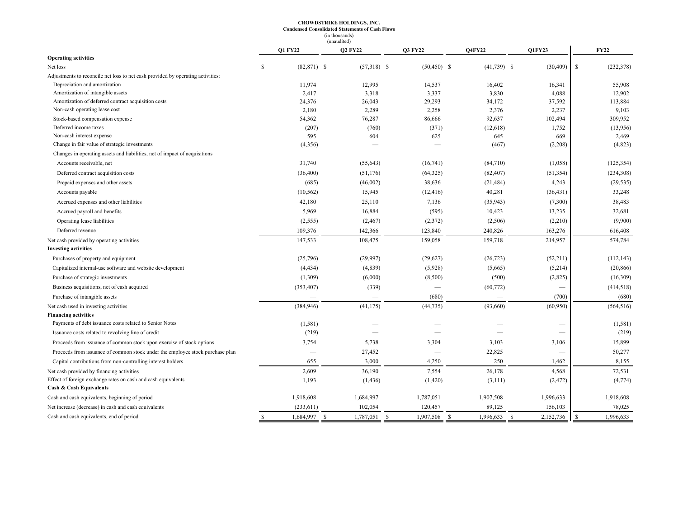#### **CROWDSTRIKE HOLDINGS, INC. Condensed Consolidated Statements of Cash Flows** (in thousands)

|                                                                                                     |                     | (unaudited)               |                          |                           |                           |                  |
|-----------------------------------------------------------------------------------------------------|---------------------|---------------------------|--------------------------|---------------------------|---------------------------|------------------|
|                                                                                                     | <b>Q1 FY22</b>      | <b>Q2 FY22</b>            | <b>O3 FY22</b>           | <b>O4FY22</b>             | <b>O1FY23</b>             | <b>FY22</b>      |
| <b>Operating activities</b>                                                                         |                     |                           |                          |                           |                           |                  |
| Net loss                                                                                            | \$<br>$(82,871)$ \$ | $(57,318)$ \$             | $(50, 450)$ \$           | $(41,739)$ \$             | (30, 409)                 | \$<br>(232, 378) |
| Adjustments to reconcile net loss to net cash provided by operating activities:                     |                     |                           |                          |                           |                           |                  |
| Depreciation and amortization                                                                       | 11,974              | 12,995                    | 14,537                   | 16,402                    | 16,341                    | 55,908           |
| Amortization of intangible assets                                                                   | 2,417               | 3,318                     | 3,337                    | 3,830                     | 4,088                     | 12,902           |
| Amortization of deferred contract acquisition costs                                                 | 24,376              | 26,043                    | 29,293                   | 34,172                    | 37,592                    | 113,884          |
| Non-cash operating lease cost                                                                       | 2,180               | 2,289                     | 2,258                    | 2,376                     | 2,237                     | 9,103            |
| Stock-based compensation expense                                                                    | 54,362              | 76,287                    | 86,666                   | 92,637                    | 102,494                   | 309,952          |
| Deferred income taxes                                                                               | (207)               | (760)                     | (371)                    | (12,618)                  | 1,752                     | (13,956)         |
| Non-cash interest expense                                                                           | 595                 | 604                       | 625                      | 645                       | 669                       | 2,469            |
| Change in fair value of strategic investments                                                       | (4,356)             |                           |                          | (467)                     | (2,208)                   | (4,823)          |
| Changes in operating assets and liabilities, net of impact of acquisitions                          |                     |                           |                          |                           |                           |                  |
| Accounts receivable, net                                                                            | 31,740              | (55, 643)                 | (16,741)                 | (84,710)                  | (1,058)                   | (125, 354)       |
| Deferred contract acquisition costs                                                                 | (36, 400)           | (51, 176)                 | (64, 325)                | (82, 407)                 | (51, 354)                 | (234, 308)       |
| Prepaid expenses and other assets                                                                   | (685)               | (46,002)                  | 38,636                   | (21, 484)                 | 4,243                     | (29, 535)        |
| Accounts payable                                                                                    | (10, 562)           | 15,945                    | (12, 416)                | 40,281                    | (36, 431)                 | 33,248           |
| Accrued expenses and other liabilities                                                              | 42,180              | 25,110                    | 7,136                    | (35,943)                  | (7,300)                   | 38,483           |
| Accrued payroll and benefits                                                                        | 5,969               | 16,884                    | (595)                    | 10,423                    | 13,235                    | 32,681           |
| Operating lease liabilities                                                                         | (2, 555)            | (2, 467)                  | (2,372)                  | (2,506)                   | (2,210)                   | (9,900)          |
| Deferred revenue                                                                                    | 109,376             | 142,366                   | 123,840                  | 240,826                   | 163,276                   | 616,408          |
| Net cash provided by operating activities                                                           | 147,533             | 108,475                   | 159,058                  | 159,718                   | 214,957                   | 574,784          |
| <b>Investing activities</b>                                                                         |                     |                           |                          |                           |                           |                  |
| Purchases of property and equipment                                                                 | (25,796)            | (29,997)                  | (29,627)                 | (26, 723)                 | (52, 211)                 | (112, 143)       |
| Capitalized internal-use software and website development                                           | (4, 434)            | (4,839)                   | (5,928)                  | (5,665)                   | (5,214)                   | (20, 866)        |
| Purchase of strategic investments                                                                   | (1,309)             | (6,000)                   | (8,500)                  | (500)                     | (2,825)                   | (16,309)         |
| Business acquisitions, net of cash acquired                                                         | (353, 407)          | (339)                     | $\overline{\phantom{a}}$ | (60, 772)                 |                           | (414,518)        |
| Purchase of intangible assets                                                                       |                     |                           | (680)                    |                           | (700)                     | (680)            |
| Net cash used in investing activities                                                               | (384, 946)          | (41, 175)                 | (44, 735)                | (93,660)                  | (60, 950)                 | (564, 516)       |
| <b>Financing activities</b>                                                                         |                     |                           |                          |                           |                           |                  |
| Payments of debt issuance costs related to Senior Notes                                             | (1, 581)            |                           |                          |                           |                           | (1, 581)         |
| Issuance costs related to revolving line of credit                                                  | (219)               |                           |                          |                           |                           | (219)            |
| Proceeds from issuance of common stock upon exercise of stock options                               | 3,754               | 5,738                     | 3,304                    | 3,103                     | 3,106                     | 15,899           |
| Proceeds from issuance of common stock under the employee stock purchase plan                       |                     | 27,452                    |                          | 22,825                    |                           | 50,277           |
| Capital contributions from non-controlling interest holders                                         | 655                 | 3,000                     | 4,250                    | 250                       | 1,462                     | 8,155            |
| Net cash provided by financing activities                                                           | 2,609               | 36,190                    | 7,554                    | 26,178                    | 4,568                     | 72,531           |
| Effect of foreign exchange rates on cash and cash equivalents<br><b>Cash &amp; Cash Equivalents</b> | 1,193               | (1, 436)                  | (1,420)                  | (3,111)                   | (2, 472)                  | (4,774)          |
| Cash and cash equivalents, beginning of period                                                      | 1,918,608           | 1,684,997                 | 1,787,051                | 1,907,508                 | 1,996,633                 | 1,918,608        |
| Net increase (decrease) in cash and cash equivalents                                                | (233, 611)          | 102,054                   | 120,457                  | 89,125                    | 156,103                   | 78,025           |
| Cash and cash equivalents, end of period                                                            | 1,684,997<br>\$     | $\mathbb{S}$<br>1,787,051 | 1,907,508<br>- S         | $\mathbb{S}$<br>1,996,633 | $\mathbb{S}$<br>2,152,736 | 1,996,633<br>\$  |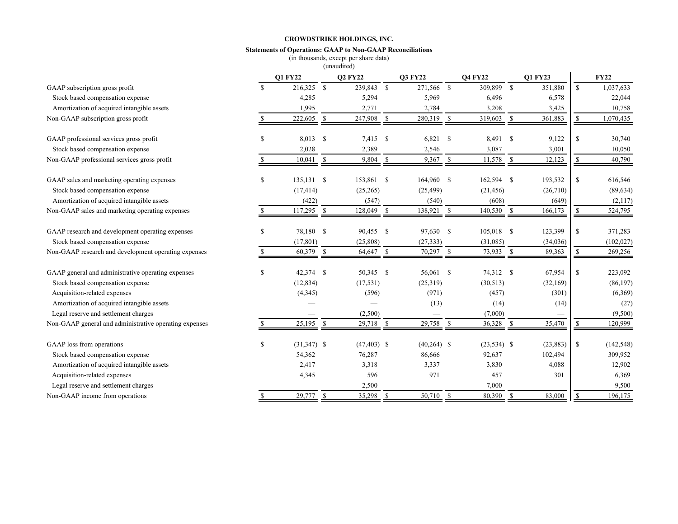### **Statements of Operations: GAAP to Non-GAAP Reconciliations**

(in thousands, except per share data) (unaudited)

|                                                        |    | <b>O1 FY22</b>    |    | <b>Q2 FY22</b> |            | <b>O3 FY22</b> |               | <b>O4 FY22</b> |              | <b>O1 FY23</b> |               | <b>FY22</b> |
|--------------------------------------------------------|----|-------------------|----|----------------|------------|----------------|---------------|----------------|--------------|----------------|---------------|-------------|
| GAAP subscription gross profit                         |    | 216,325 \$        |    | 239,843 \$     |            | 271,566 \$     |               | 309,899        | $\mathbb{S}$ | 351,880        | $\mathbf S$   | 1,037,633   |
| Stock based compensation expense                       |    | 4,285             |    | 5,294          |            | 5,969          |               | 6,496          |              | 6,578          |               | 22,044      |
| Amortization of acquired intangible assets             |    | 1,995             |    | 2,771          |            | 2,784          |               | 3,208          |              | 3,425          |               | 10,758      |
| Non-GAAP subscription gross profit                     |    | 222,605           | \$ | 247,908        | $\sqrt{s}$ | 280,319        | <sup>\$</sup> | 319,603        | \$           | 361,883        | \$            | 1,070,435   |
| GAAP professional services gross profit                | \$ | 8,013 \$          |    | $7,415$ \$     |            | 6,821          | <sup>\$</sup> | 8,491 \$       |              | 9,122          | <sup>\$</sup> | 30,740      |
| Stock based compensation expense                       |    | 2,028             |    | 2,389          |            | 2,546          |               | 3,087          |              | 3,001          |               | 10,050      |
| Non-GAAP professional services gross profit            |    | $10,041 \quad$ \$ |    | 9,804 \$       |            | $9,367$ \$     |               | $11,578$ \$    |              | 12,123         | \$            | 40,790      |
| GAAP sales and marketing operating expenses            | \$ | $135,131$ \$      |    | 153,861 \$     |            | 164,960 \$     |               | 162,594 \$     |              | 193,532        | $\mathbb{S}$  | 616,546     |
| Stock based compensation expense                       |    | (17, 414)         |    | (25, 265)      |            | (25, 499)      |               | (21, 456)      |              | (26,710)       |               | (89, 634)   |
| Amortization of acquired intangible assets             |    | (422)             |    | (547)          |            | (540)          |               | (608)          |              | (649)          |               | (2,117)     |
| Non-GAAP sales and marketing operating expenses        |    | 117,295           | -S | 128,049        | - \$       | 138,921        | -S            | 140,530        | - \$         | 166,173        |               | 524,795     |
| GAAP research and development operating expenses       | S  | 78,180 \$         |    | 90,455 \$      |            | 97,630         | -S            | $105,018$ \$   |              | 123,399        | \$            | 371,283     |
| Stock based compensation expense                       |    | (17, 801)         |    | (25,808)       |            | (27, 333)      |               | (31,085)       |              | (34,036)       |               | (102, 027)  |
| Non-GAAP research and development operating expenses   |    | 60,379 \$         |    | 64,647 \$      |            | $70,297$ \$    |               | $73,933$ \$    |              | 89,363         | -S            | 269,256     |
| GAAP general and administrative operating expenses     | \$ | 42,374 \$         |    | 50,345 \$      |            | 56,061 \$      |               | 74,312 \$      |              | 67,954         | \$            | 223,092     |
| Stock based compensation expense                       |    | (12, 834)         |    | (17, 531)      |            | (25,319)       |               | (30,513)       |              | (32, 169)      |               | (86, 197)   |
| Acquisition-related expenses                           |    | (4, 345)          |    | (596)          |            | (971)          |               | (457)          |              | (301)          |               | (6,369)     |
| Amortization of acquired intangible assets             |    |                   |    |                |            | (13)           |               | (14)           |              | (14)           |               | (27)        |
| Legal reserve and settlement charges                   |    |                   |    | (2,500)        |            |                |               | (7,000)        |              |                |               | (9,500)     |
| Non-GAAP general and administrative operating expenses |    | 25,195            | -S | $29,718$ \$    |            | 29,758         | -S            | 36,328         | - \$         | 35,470         | S             | 120,999     |
| GAAP loss from operations                              | \$ | $(31,347)$ \$     |    | $(47, 403)$ \$ |            | $(40,264)$ \$  |               | $(23,534)$ \$  |              | (23, 883)      | $\mathbb{S}$  | (142, 548)  |
| Stock based compensation expense                       |    | 54,362            |    | 76,287         |            | 86,666         |               | 92,637         |              | 102,494        |               | 309,952     |
| Amortization of acquired intangible assets             |    | 2,417             |    | 3,318          |            | 3,337          |               | 3,830          |              | 4,088          |               | 12,902      |
| Acquisition-related expenses                           |    | 4,345             |    | 596            |            | 971            |               | 457            |              | 301            |               | 6,369       |
| Legal reserve and settlement charges                   |    |                   |    | 2,500          |            |                |               | 7,000          |              |                |               | 9,500       |
| Non-GAAP income from operations                        |    | 29,777 \$         |    | 35,298 \$      |            | 50,710 \$      |               | 80,390         | - \$         | 83,000         | <sup>\$</sup> | 196,175     |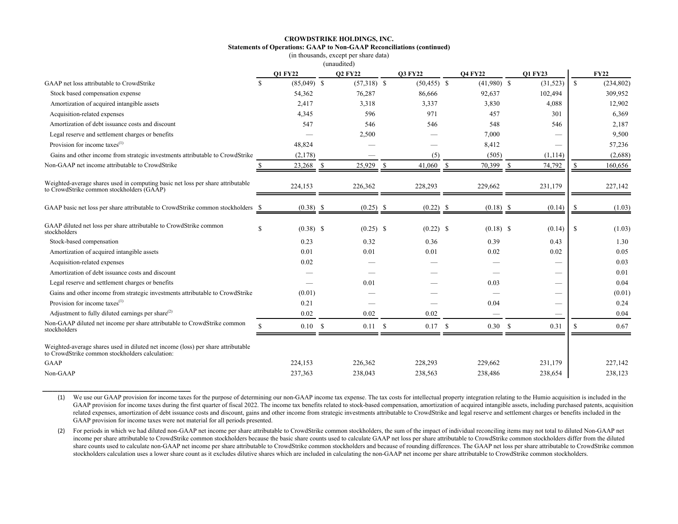#### **CROWDSTRIKE HOLDINGS, INC. Statements of Operations: GAAP to Non-GAAP Reconciliations (continued)** (in thousands, except per share data)

| rasanas, execpt per sina |             |  |  |
|--------------------------|-------------|--|--|
|                          | (unaudited) |  |  |

|                                                                                                                                     |               | <b>Q1 FY22</b> |    | <b>Q2 FY22</b> |    | <b>O3 FY22</b> |               | <b>O4 FY22</b> |               | <b>Q1 FY23</b>           |             | <b>FY22</b> |
|-------------------------------------------------------------------------------------------------------------------------------------|---------------|----------------|----|----------------|----|----------------|---------------|----------------|---------------|--------------------------|-------------|-------------|
| GAAP net loss attributable to CrowdStrike                                                                                           | <sup>\$</sup> | $(85,049)$ \$  |    | $(57,318)$ \$  |    | $(50, 455)$ \$ |               | $(41,980)$ \$  |               | (31, 523)                | $\mathbf S$ | (234, 802)  |
| Stock based compensation expense                                                                                                    |               | 54,362         |    | 76,287         |    | 86,666         |               | 92,637         |               | 102,494                  |             | 309,952     |
| Amortization of acquired intangible assets                                                                                          |               | 2,417          |    | 3,318          |    | 3,337          |               | 3,830          |               | 4,088                    |             | 12,902      |
| Acquisition-related expenses                                                                                                        |               | 4,345          |    | 596            |    | 971            |               | 457            |               | 301                      |             | 6,369       |
| Amortization of debt issuance costs and discount                                                                                    |               | 547            |    | 546            |    | 546            |               | 548            |               | 546                      |             | 2,187       |
| Legal reserve and settlement charges or benefits                                                                                    |               |                |    | 2,500          |    |                |               | 7,000          |               |                          |             | 9,500       |
| Provision for income taxes $^{(1)}$                                                                                                 |               | 48,824         |    |                |    |                |               | 8,412          |               |                          |             | 57,236      |
| Gains and other income from strategic investments attributable to CrowdStrike                                                       |               | (2,178)        |    |                |    | (5)            |               | (505)          |               | (1,114)                  |             | (2,688)     |
| Non-GAAP net income attributable to CrowdStrike                                                                                     |               | 23,268         | -S | 25,929         | -S | 41,060         | <sup>\$</sup> | 70,399         | <sup>\$</sup> | 74,792                   |             | 160,656     |
| Weighted-average shares used in computing basic net loss per share attributable<br>to CrowdStrike common stockholders (GAAP)        |               | 224,153        |    | 226,362        |    | 228,293        |               | 229,662        |               | 231,179                  |             | 227,142     |
| GAAP basic net loss per share attributable to CrowdStrike common stockholders                                                       | - S           | $(0.38)$ \$    |    |                |    | (0.22)         | - S           |                |               | (0.14)                   |             | (1.03)      |
| GAAP diluted net loss per share attributable to CrowdStrike common<br>stockholders                                                  | \$            | $(0.38)$ \$    |    | $(0.25)$ \$    |    | $(0.22)$ \$    |               | $(0.18)$ \$    |               | (0.14)                   | \$          | (1.03)      |
| Stock-based compensation                                                                                                            |               | 0.23           |    | 0.32           |    | 0.36           |               | 0.39           |               | 0.43                     |             | 1.30        |
| Amortization of acquired intangible assets                                                                                          |               | 0.01           |    | 0.01           |    | 0.01           |               | 0.02           |               | 0.02                     |             | 0.05        |
| Acquisition-related expenses                                                                                                        |               | 0.02           |    |                |    |                |               |                |               |                          |             | 0.03        |
| Amortization of debt issuance costs and discount                                                                                    |               |                |    |                |    |                |               |                |               |                          |             | 0.01        |
| Legal reserve and settlement charges or benefits                                                                                    |               |                |    | 0.01           |    |                |               | 0.03           |               |                          |             | 0.04        |
| Gains and other income from strategic investments attributable to CrowdStrike                                                       |               | (0.01)         |    |                |    |                |               |                |               |                          |             | (0.01)      |
| Provision for income taxes $^{(1)}$                                                                                                 |               | 0.21           |    |                |    |                |               | 0.04           |               | $\overline{\phantom{0}}$ |             | 0.24        |
| Adjustment to fully diluted earnings per share $^{(2)}$                                                                             |               | 0.02           |    | 0.02           |    | 0.02           |               |                |               |                          |             | 0.04        |
| Non-GAAP diluted net income per share attributable to CrowdStrike common<br>stockholders                                            | $\mathcal{S}$ | 0.10 S         |    | $0.11 \,$ \$   |    | 0.17S          |               | 0.30           | -S            | 0.31                     | -S          | 0.67        |
| Weighted-average shares used in diluted net income (loss) per share attributable<br>to CrowdStrike common stockholders calculation: |               |                |    |                |    |                |               |                |               |                          |             |             |
| <b>GAAP</b>                                                                                                                         |               | 224,153        |    | 226,362        |    | 228,293        |               | 229,662        |               | 231,179                  |             | 227,142     |
| Non-GAAP                                                                                                                            |               | 237,363        |    | 238,043        |    | 238,563        |               | 238,486        |               | 238,654                  |             | 238,123     |

(1) We use our GAAP provision for income taxes for the purpose of determining our non-GAAP income tax expense. The tax costs for intellectual property integration relating to the Humio acquisition is included in the GAAP provision for income taxes during the first quarter of fiscal 2022. The income tax benefits related to stock-based compensation, amortization of acquired intangible assets, including purchased patents, acquisition related expenses, amortization of debt issuance costs and discount, gains and other income from strategic investments attributable to CrowdStrike and legal reserve and settlement charges or benefits included in the GAAP provision for income taxes were not material for all periods presented.

\_\_\_\_\_\_\_\_\_\_\_\_\_\_\_\_\_\_\_\_\_\_\_\_\_\_\_\_\_

(2) For periods in which we had diluted non-GAAP net income per share attributable to CrowdStrike common stockholders, the sum of the impact of individual reconciling items may not total to diluted Non-GAAP net income per share attributable to CrowdStrike common stockholders because the basic share counts used to calculate GAAP net loss per share attributable to CrowdStrike common stockholders differ from the diluted share counts used to calculate non-GAAP net income per share attributable to CrowdStrike common stockholders and because of rounding differences. The GAAP net loss per share attributable to CrowdStrike common stockholders calculation uses a lower share count as it excludes dilutive shares which are included in calculating the non-GAAP net income per share attributable to CrowdStrike common stockholders.